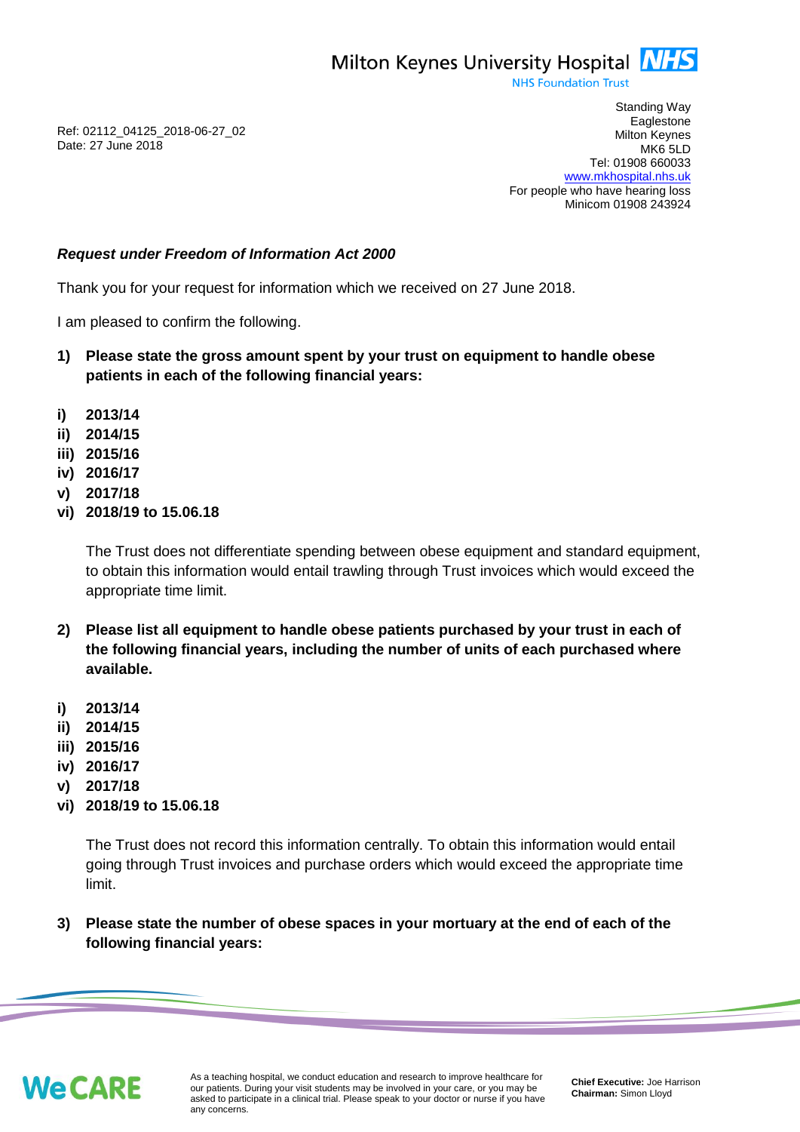

**NHS Foundation Trust** 

Ref: 02112\_04125\_2018-06-27\_02 Date: 27 June 2018

Standing Way **Eaglestone** Milton Keynes MK6 5LD Tel: 01908 660033 [www.mkhospital.nhs.uk](http://www.mkhospital.nhs.uk/) For people who have hearing loss Minicom 01908 243924

## *Request under Freedom of Information Act 2000*

Thank you for your request for information which we received on 27 June 2018.

I am pleased to confirm the following.

- **1) Please state the gross amount spent by your trust on equipment to handle obese patients in each of the following financial years:**
- **i) 2013/14**
- **ii) 2014/15**
- **iii) 2015/16**
- **iv) 2016/17**
- **v) 2017/18**
- **vi) 2018/19 to 15.06.18**

The Trust does not differentiate spending between obese equipment and standard equipment, to obtain this information would entail trawling through Trust invoices which would exceed the appropriate time limit.

- **2) Please list all equipment to handle obese patients purchased by your trust in each of the following financial years, including the number of units of each purchased where available.**
- **i) 2013/14**
- **ii) 2014/15**
- **iii) 2015/16**
- **iv) 2016/17**
- **v) 2017/18**
- **vi) 2018/19 to 15.06.18**

The Trust does not record this information centrally. To obtain this information would entail going through Trust invoices and purchase orders which would exceed the appropriate time limit.

**3) Please state the number of obese spaces in your mortuary at the end of each of the following financial years:**